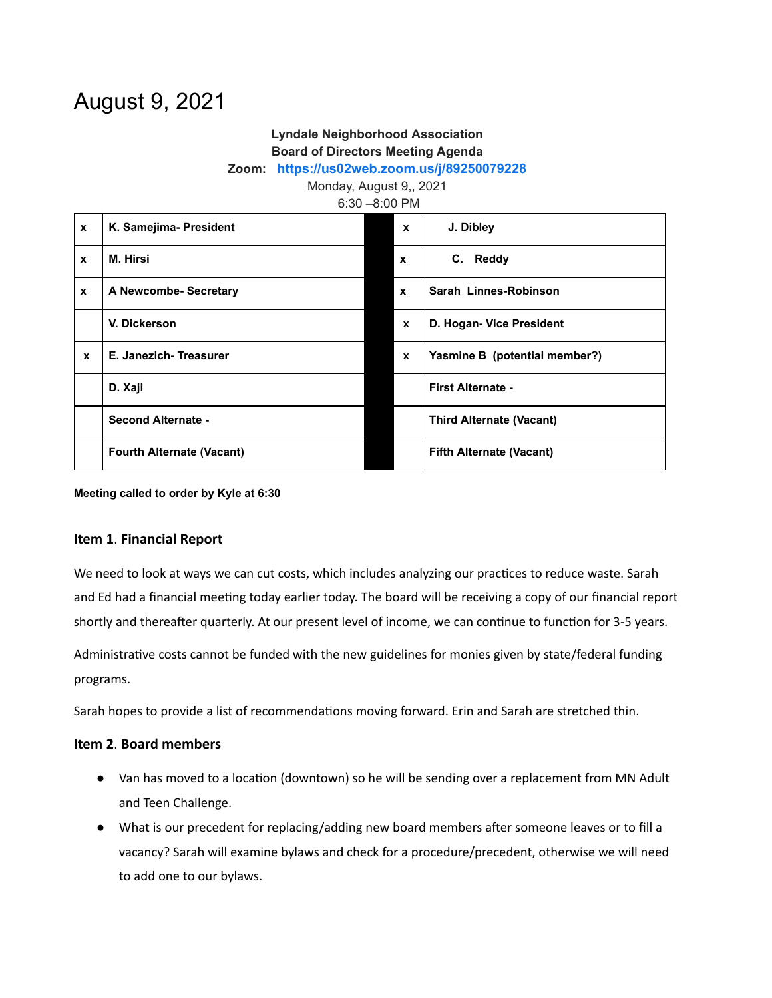# August 9, 2021

## **Lyndale Neighborhood Association Board of Directors Meeting Agenda**

#### **Zoom: <https://us02web.zoom.us/j/89250079228>**

Monday, August 9,, 2021

6:30 –8:00 PM

| $\mathbf{x}$     | K. Samejima- President           | $\mathbf{x}$ | J. Dibley                       |
|------------------|----------------------------------|--------------|---------------------------------|
| $\mathbf x$      | M. Hirsi                         | $\mathbf{x}$ | C. Reddy                        |
| $\boldsymbol{x}$ | A Newcombe- Secretary            | $\mathbf{x}$ | Sarah Linnes-Robinson           |
|                  | V. Dickerson                     | $\mathbf{x}$ | D. Hogan- Vice President        |
| $\mathbf{x}$     | E. Janezich-Treasurer            | $\mathbf{x}$ | Yasmine B (potential member?)   |
|                  | D. Xaji                          |              | <b>First Alternate -</b>        |
|                  | Second Alternate -               |              | <b>Third Alternate (Vacant)</b> |
|                  | <b>Fourth Alternate (Vacant)</b> |              | <b>Fifth Alternate (Vacant)</b> |

**Meeting called to order by Kyle at 6:30**

#### **Item 1**. **Financial Report**

We need to look at ways we can cut costs, which includes analyzing our practices to reduce waste. Sarah and Ed had a financial meeting today earlier today. The board will be receiving a copy of our financial report shortly and thereafter quarterly. At our present level of income, we can continue to function for 3-5 years.

Administrative costs cannot be funded with the new guidelines for monies given by state/federal funding programs.

Sarah hopes to provide a list of recommendations moving forward. Erin and Sarah are stretched thin.

### **Item 2**. **Board members**

- Van has moved to a location (downtown) so he will be sending over a replacement from MN Adult and Teen Challenge.
- What is our precedent for replacing/adding new board members after someone leaves or to fill a vacancy? Sarah will examine bylaws and check for a procedure/precedent, otherwise we will need to add one to our bylaws.